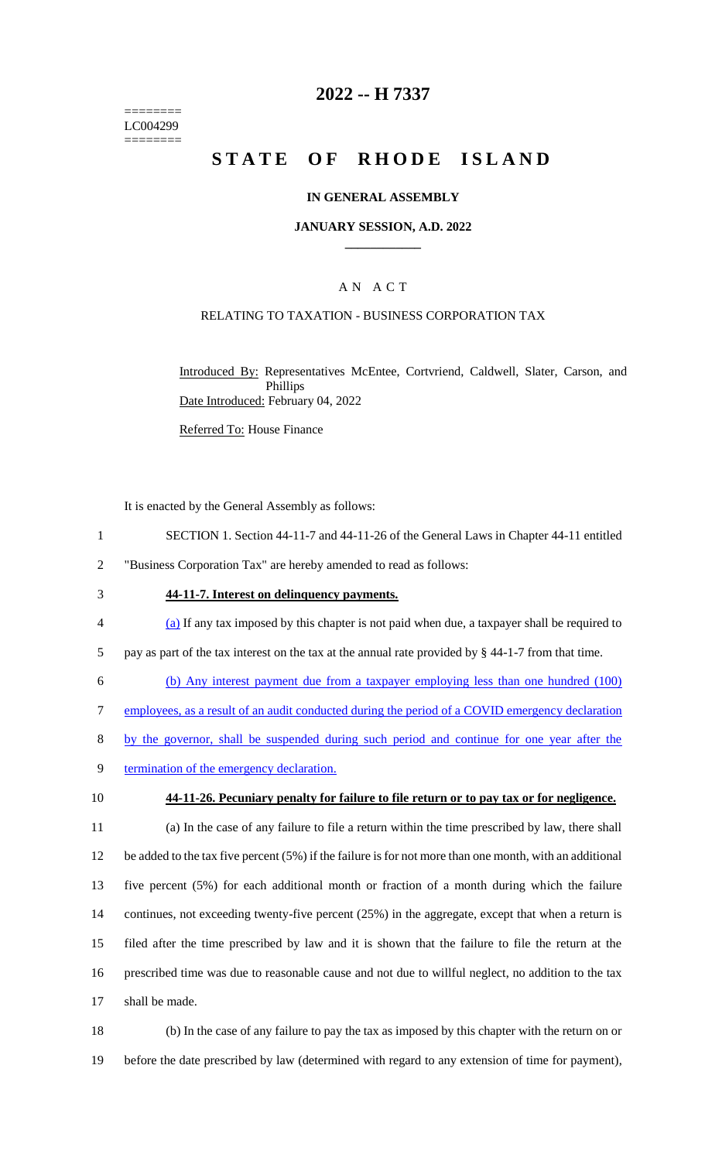======== LC004299 ========

## **2022 -- H 7337**

# **STATE OF RHODE ISLAND**

#### **IN GENERAL ASSEMBLY**

#### **JANUARY SESSION, A.D. 2022 \_\_\_\_\_\_\_\_\_\_\_\_**

### A N A C T

#### RELATING TO TAXATION - BUSINESS CORPORATION TAX

Introduced By: Representatives McEntee, Cortvriend, Caldwell, Slater, Carson, and Phillips Date Introduced: February 04, 2022

Referred To: House Finance

It is enacted by the General Assembly as follows:

- 1 SECTION 1. Section 44-11-7 and 44-11-26 of the General Laws in Chapter 44-11 entitled
- 2 "Business Corporation Tax" are hereby amended to read as follows:
- 3 **44-11-7. Interest on delinquency payments.**
- 4 (a) If any tax imposed by this chapter is not paid when due, a taxpayer shall be required to

5 pay as part of the tax interest on the tax at the annual rate provided by § 44-1-7 from that time.

- 6 (b) Any interest payment due from a taxpayer employing less than one hundred (100)
- 7 employees, as a result of an audit conducted during the period of a COVID emergency declaration
- 8 by the governor, shall be suspended during such period and continue for one year after the
- 9 termination of the emergency declaration.
- 

10 **44-11-26. Pecuniary penalty for failure to file return or to pay tax or for negligence.**

 (a) In the case of any failure to file a return within the time prescribed by law, there shall be added to the tax five percent (5%) if the failure is for not more than one month, with an additional five percent (5%) for each additional month or fraction of a month during which the failure 14 continues, not exceeding twenty-five percent (25%) in the aggregate, except that when a return is filed after the time prescribed by law and it is shown that the failure to file the return at the prescribed time was due to reasonable cause and not due to willful neglect, no addition to the tax shall be made.

18 (b) In the case of any failure to pay the tax as imposed by this chapter with the return on or 19 before the date prescribed by law (determined with regard to any extension of time for payment),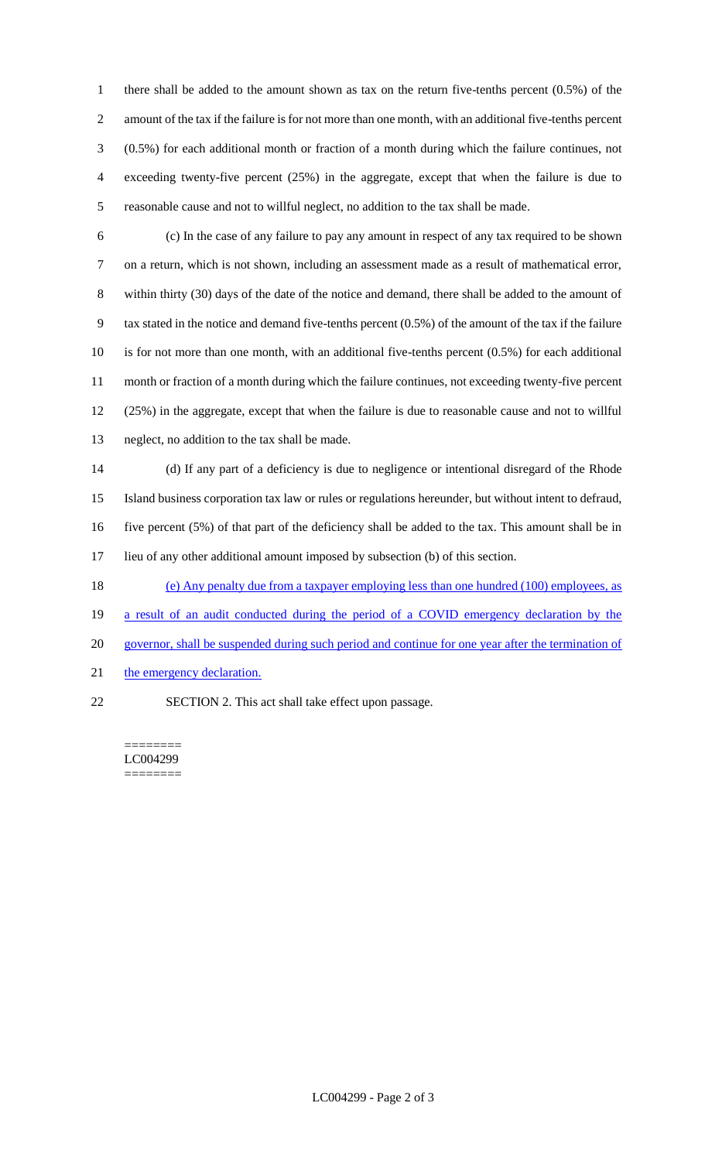there shall be added to the amount shown as tax on the return five-tenths percent (0.5%) of the amount of the tax if the failure is for not more than one month, with an additional five-tenths percent (0.5%) for each additional month or fraction of a month during which the failure continues, not exceeding twenty-five percent (25%) in the aggregate, except that when the failure is due to reasonable cause and not to willful neglect, no addition to the tax shall be made.

 (c) In the case of any failure to pay any amount in respect of any tax required to be shown on a return, which is not shown, including an assessment made as a result of mathematical error, within thirty (30) days of the date of the notice and demand, there shall be added to the amount of tax stated in the notice and demand five-tenths percent (0.5%) of the amount of the tax if the failure is for not more than one month, with an additional five-tenths percent (0.5%) for each additional month or fraction of a month during which the failure continues, not exceeding twenty-five percent (25%) in the aggregate, except that when the failure is due to reasonable cause and not to willful neglect, no addition to the tax shall be made.

 (d) If any part of a deficiency is due to negligence or intentional disregard of the Rhode Island business corporation tax law or rules or regulations hereunder, but without intent to defraud, five percent (5%) of that part of the deficiency shall be added to the tax. This amount shall be in lieu of any other additional amount imposed by subsection (b) of this section.

(e) Any penalty due from a taxpayer employing less than one hundred (100) employees, as

a result of an audit conducted during the period of a COVID emergency declaration by the

- governor, shall be suspended during such period and continue for one year after the termination of
- 21 the emergency declaration.
- SECTION 2. This act shall take effect upon passage.

======== LC004299 ========